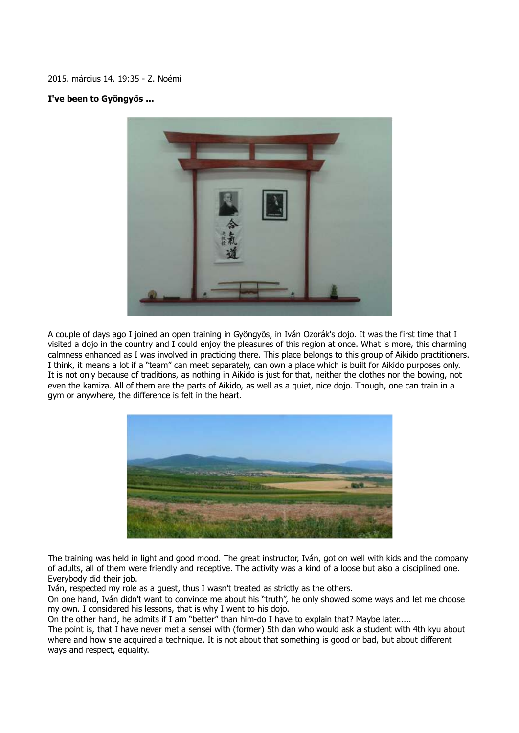2015. március 14. 19:35 - Z. Noémi

## **I've been to Gyöngyös …**



A couple of days ago I joined an open training in Gyöngyös, in Iván Ozorák's dojo. It was the first time that I visited a dojo in the country and I could enjoy the pleasures of this region at once. What is more, this charming calmness enhanced as I was involved in practicing there. This place belongs to this group of Aikido practitioners. I think, it means a lot if a "team" can meet separately, can own a place which is built for Aikido purposes only. It is not only because of traditions, as nothing in Aikido is just for that, neither the clothes nor the bowing, not even the kamiza. All of them are the parts of Aikido, as well as a quiet, nice dojo. Though, one can train in a gym or anywhere, the difference is felt in the heart.



The training was held in light and good mood. The great instructor, Iván, got on well with kids and the company of adults, all of them were friendly and receptive. The activity was a kind of a loose but also a disciplined one. Everybody did their job.

Iván, respected my role as a guest, thus I wasn't treated as strictly as the others.

On one hand, Iván didn't want to convince me about his "truth", he only showed some ways and let me choose my own. I considered his lessons, that is why I went to his dojo.

On the other hand, he admits if I am "better" than him-do I have to explain that? Maybe later.....

The point is, that I have never met a sensei with (former) 5th dan who would ask a student with 4th kyu about where and how she acquired a technique. It is not about that something is good or bad, but about different ways and respect, equality.